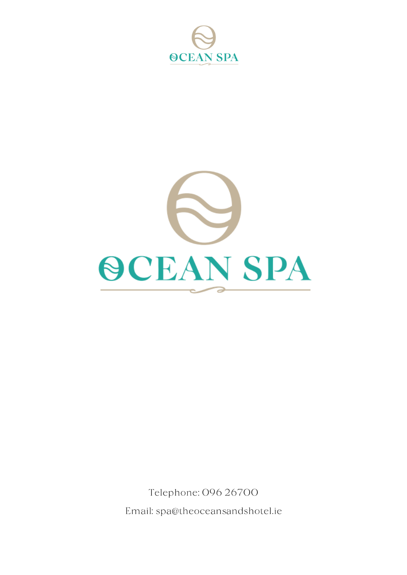



Telephone: 096 26700 Email: spa@theoceansandshotel.ie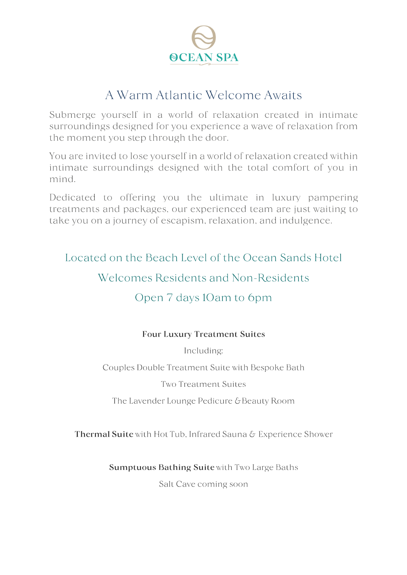

# A Warm Atlantic Welcome Awaits

Submerge vourself in a world of relaxation created in intimate surroundings designed for you experience a wave of relaxation from the moment you step through the door.

You are invited to lose yourself in a world of relaxation created within intimate surroundings designed with the total comfort of you in mind

Dedicated to offering you the ultimate in luxury pampering treatments and packages, our experienced team are just waiting to take you on a journey of escapism, relaxation, and indulgence.

Located on the Beach Level of the Ocean Sands Hotel

# Welcomes Residents and Non-Residents

# Open 7 days 10am to 6pm

### **Four Luxury Treatment Suites**

Including:

Couples Double Treatment Suite with Bespoke Bath

**Two Treatment Suites** 

The Lavender Lounge Pedicure & Beauty Room

Thermal Suite with Hot Tub, Infrared Sauna & Experience Shower

**Sumptuous Bathing Suite with Two Large Baths** 

Salt Cave coming soon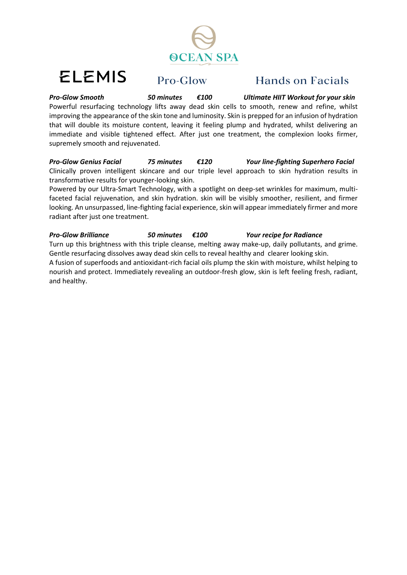

# **ELEMIS**

### Pro-Glow

# **Hands on Facials**

*Pro-Glow Smooth 50 minutes €100 Ultimate HIIT Workout for your skin* Powerful resurfacing technology lifts away dead skin cells to smooth, renew and refine, whilst improving the appearance of the skin tone and luminosity. Skin is prepped for an infusion of hydration that will double its moisture content, leaving it feeling plump and hydrated, whilst delivering an immediate and visible tightened effect. After just one treatment, the complexion looks firmer, supremely smooth and rejuvenated.

*Pro-Glow Genius Facial 75 minutes €120 Your line-fighting Superhero Facial*  Clinically proven intelligent skincare and our triple level approach to skin hydration results in transformative results for younger-looking skin.

Powered by our Ultra-Smart Technology, with a spotlight on deep-set wrinkles for maximum, multifaceted facial rejuvenation, and skin hydration. skin will be visibly smoother, resilient, and firmer looking. An unsurpassed, line-fighting facial experience, skin will appear immediately firmer and more radiant after just one treatment.

*Pro-Glow Brilliance 50 minutes €100 Your recipe for Radiance* Turn up this brightness with this triple cleanse, melting away make-up, daily pollutants, and grime. Gentle resurfacing dissolves away dead skin cells to reveal healthy and clearer looking skin. A fusion of superfoods and antioxidant-rich facial oils plump the skin with moisture, whilst helping to nourish and protect. Immediately revealing an outdoor-fresh glow, skin is left feeling fresh, radiant, and healthy.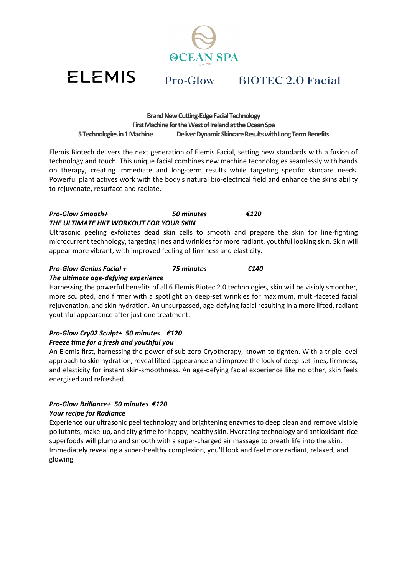**ACEAN SPA** 

# Pro-Glow+ BIOTEC 2.0 Facial

**Brand New Cutting-Edge Facial Technology** First Machine for the West of Ireland at the Ocean Spa **5Technologiesin1Machine DeliverDynamicSkincareResultswithLongTermBenefits**

Elemis Biotech delivers the next generation of Elemis Facial, setting new standards with a fusion of technology and touch. This unique facial combines new machine technologies seamlessly with hands on therapy, creating immediate and long-term results while targeting specific skincare needs. Powerful plant actives work with the body's natural bio-electrical field and enhance the skins ability to rejuvenate, resurface and radiate.

#### *Pro-Glow Smooth+ 50 minutes €120 THE ULTIMATE HIIT WORKOUT FOR YOUR SKIN*

Ultrasonic peeling exfoliates dead skin cells to smooth and prepare the skin for line-fighting microcurrent technology, targeting lines and wrinkles for more radiant, youthful looking skin. Skin will appear more vibrant, with improved feeling of firmness and elasticity.

### *Pro-Glow Genius Facial + 75 minutes €140*

#### *The ultimate age-defying experience*

**ELEMIS** 

Harnessing the powerful benefits of all 6 Elemis Biotec 2.0 technologies, skin will be visibly smoother, more sculpted, and firmer with a spotlight on deep-set wrinkles for maximum, multi-faceted facial rejuvenation, and skin hydration. An unsurpassed, age-defying facial resulting in a more lifted, radiant youthful appearance after just one treatment.

### *Pro-Glow Cry02 Sculpt+ 50 minutes €120 Freeze time for a fresh and youthful you*

An Elemis first, harnessing the power of sub-zero Cryotherapy, known to tighten. With a triple level approach to skin hydration, reveal lifted appearance and improve the look of deep-set lines, firmness, and elasticity for instant skin-smoothness. An age-defying facial experience like no other, skin feels energised and refreshed.

### *Pro-Glow Brillance+ 50 minutes €120*

#### *Your recipe for Radiance*

Experience our ultrasonic peel technology and brightening enzymes to deep clean and remove visible pollutants, make-up, and city grime for happy, healthy skin. Hydrating technology and antioxidant-rice superfoods will plump and smooth with a super-charged air massage to breath life into the skin. Immediately revealing a super-healthy complexion, you'll look and feel more radiant, relaxed, and glowing.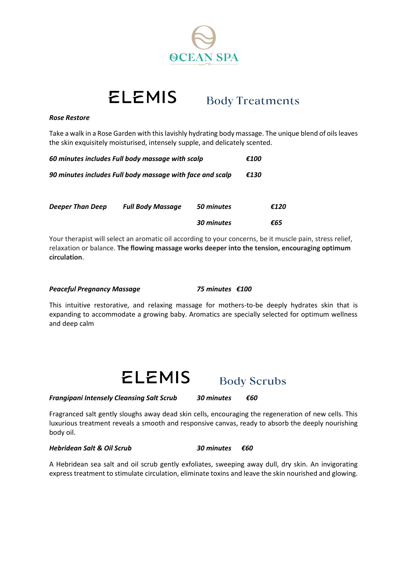

#### **ELEMIS Body Treatments**

#### *Rose Restore*

Take a walk in a Rose Garden with this lavishly hydrating body massage. The unique blend of oils leaves the skin exquisitely moisturised, intensely supple, and delicately scented.

| 60 minutes includes Full body massage with scalp          |                          |            | €100 |      |
|-----------------------------------------------------------|--------------------------|------------|------|------|
| 90 minutes includes Full body massage with face and scalp |                          |            | €130 |      |
| <b>Deeper Than Deep</b>                                   | <b>Full Body Massage</b> | 50 minutes |      | €120 |

Your therapist will select an aromatic oil according to your concerns, be it muscle pain, stress relief, relaxation or balance. **The flowing massage works deeper into the tension, encouraging optimum circulation**.

#### *Peaceful Pregnancy Massage 75 minutes €100*

This intuitive restorative, and relaxing massage for mothers-to-be deeply hydrates skin that is expanding to accommodate a growing baby. Aromatics are specially selected for optimum wellness and deep calm



*Frangipani Intensely Cleansing Salt Scrub 30 minutes €60*

**Body Scrubs** 

 *30 minutes €65*

Fragranced salt gently sloughs away dead skin cells, encouraging the regeneration of new cells. This luxurious treatment reveals a smooth and responsive canvas, ready to absorb the deeply nourishing body oil.

*Hebridean Salt & Oil Scrub 30 minutes €60*

A Hebridean sea salt and oil scrub gently exfoliates, sweeping away dull, dry skin. An invigorating express treatment to stimulate circulation, eliminate toxins and leave the skin nourished and glowing.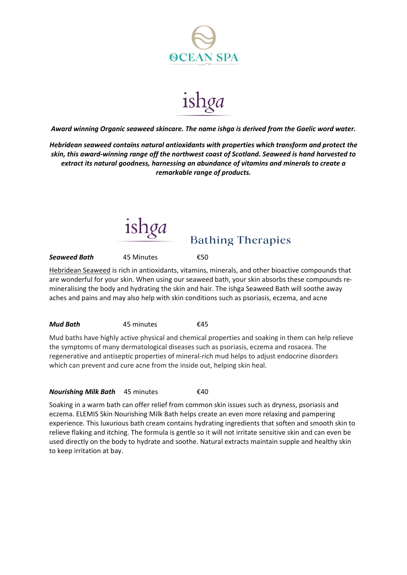

ishga

*Award winning Organic seaweed skincare. The name ishga is derived from the Gaelic word water.*

*Hebridean seaweed contains natural antioxidants with properties which transform and protect the skin, this award-winning range off the northwest coast of Scotland. Seaweed is hand harvested to extract its natural goodness, harnessing an abundance of vitamins and minerals to create a remarkable range of products.*



**Bathing Therapies** 

*Seaweed Bath* 45 Minutes €50

[Hebridean Seaweed](https://uk.ishga.com/pages/seaweed-benefits) is rich in antioxidants, vitamins, minerals, and other bioactive compounds that are wonderful for your skin. When using our seaweed bath, your skin absorbs these compounds remineralising the body and hydrating the skin and hair. The ishga Seaweed Bath will soothe away aches and pains and may also help with skin conditions such as psoriasis, eczema, and acne

#### *Mud Bath* 45 minutes €45

Mud baths have highly active physical and chemical properties and soaking in them can help relieve the symptoms of many dermatological diseases such as psoriasis, eczema and rosacea. The regenerative and antiseptic properties of mineral-rich mud helps to adjust endocrine disorders which can prevent and cure acne from the inside out, helping skin heal.

#### *Nourishing Milk Bath* 45 minutes €40

Soaking in a warm bath can offer relief from common skin issues such as dryness, psoriasis and eczema. ELEMIS Skin Nourishing Milk Bath helps create an even more relaxing and pampering experience. This luxurious bath cream contains hydrating ingredients that soften and smooth skin to relieve flaking and itching. The formula is gentle so it will not irritate sensitive skin and can even be used directly on the body to hydrate and soothe. Natural extracts maintain supple and healthy skin to keep irritation at bay.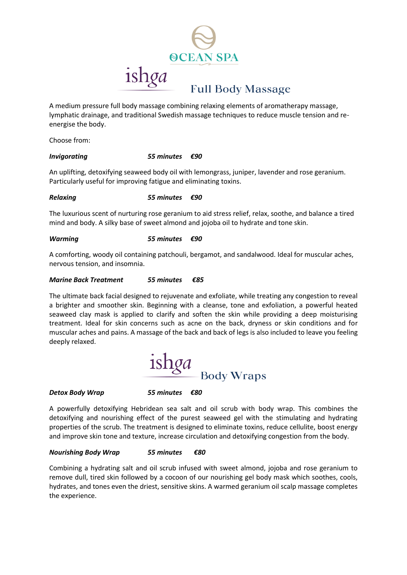

A medium pressure full body massage combining relaxing elements of aromatherapy massage, lymphatic drainage, and traditional Swedish massage techniques to reduce muscle tension and reenergise the body.

Choose from:

#### *Invigorating 55 minutes €90*

An uplifting, detoxifying seaweed body oil with lemongrass, juniper, lavender and rose geranium. Particularly useful for improving fatigue and eliminating toxins.

#### *Relaxing 55 minutes €90*

The luxurious scent of nurturing rose geranium to aid stress relief, relax, soothe, and balance a tired mind and body. A silky base of sweet almond and jojoba oil to hydrate and tone skin.

#### *Warming 55 minutes €90*

A comforting, woody oil containing patchouli, bergamot, and sandalwood. Ideal for muscular aches, nervous tension, and insomnia.

#### *Marine Back Treatment 55 minutes €85*

The ultimate back facial designed to rejuvenate and exfoliate, while treating any congestion to reveal a brighter and smoother skin. Beginning with a cleanse, tone and exfoliation, a powerful heated seaweed clay mask is applied to clarify and soften the skin while providing a deep moisturising treatment. Ideal for skin concerns such as acne on the back, dryness or skin conditions and for muscular aches and pains. A massage of the back and back of legs is also included to leave you feeling deeply relaxed.



#### *Detox Body Wrap 55 minutes €80*

A powerfully detoxifying Hebridean sea salt and oil scrub with body wrap. This combines the detoxifying and nourishing effect of the purest seaweed gel with the stimulating and hydrating properties of the scrub. The treatment is designed to eliminate toxins, reduce cellulite, boost energy and improve skin tone and texture, increase circulation and detoxifying congestion from the body.

#### *Nourishing Body Wrap 55 minutes €80*

Combining a hydrating salt and oil scrub infused with sweet almond, jojoba and rose geranium to remove dull, tired skin followed by a cocoon of our nourishing gel body mask which soothes, cools, hydrates, and tones even the driest, sensitive skins. A warmed geranium oil scalp massage completes the experience.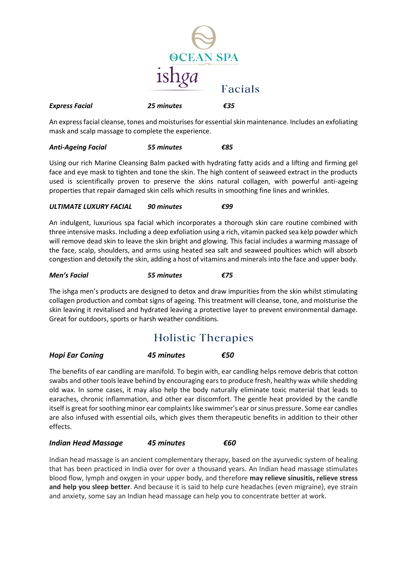

An express facial cleanse, tones and moisturises for essential skin maintenance. Includes an exfoliating mask and scalp massage to complete the experience.

#### *Anti-Ageing Facial 55 minutes €85*

Using our rich Marine Cleansing Balm packed with hydrating fatty acids and a lifting and firming gel face and eye mask to tighten and tone the skin. The high content of seaweed extract in the products used is scientifically proven to preserve the skins natural collagen, with powerful anti-ageing properties that repair damaged skin cells which results in smoothing fine lines and wrinkles.

#### *ULTIMATE LUXURY FACIAL 90 minutes €99*

An indulgent, luxurious spa facial which incorporates a thorough skin care routine combined with three intensive masks. Including a deep exfoliation using a rich, vitamin packed sea kelp powder which will remove dead skin to leave the skin bright and glowing. This facial includes a warming massage of the face, scalp, shoulders, and arms using heated sea salt and seaweed poultices which will absorb congestion and detoxify the skin, adding a host of vitamins and minerals into the face and upper body.

#### *Men's Facial 55 minutes €75*

The ishga men's products are designed to detox and draw impurities from the skin whilst stimulating collagen production and combat signs of ageing. This treatment will cleanse, tone, and moisturise the skin leaving it revitalised and hydrated leaving a protective layer to prevent environmental damage. Great for outdoors, sports or harsh weather conditions.

# **Holistic Therapies**

#### *Hopi Ear Coning 45 minutes €50*

The benefits of ear candling are manifold. To begin with, ear candling helps remove debris that cotton swabs and other tools leave behind by encouraging ears to produce fresh, healthy wax while shedding old wax. In some cases, it may also help the body naturally eliminate toxic material that leads to earaches, chronic inflammation, and other ear discomfort. The gentle heat provided by the candle itself is great for soothing minor ear complaints like swimmer's ear or sinus pressure. Some ear candles are also infused with essential oils, which gives them therapeutic benefits in addition to their other effects.

#### *Indian Head Massage 45 minutes €60*

Indian head massage is an ancient complementary therapy, based on the ayurvedic system of healing that has been practiced in India over for over a thousand years. An Indian head massage stimulates blood flow, lymph and oxygen in your upper body, and therefore **may relieve sinusitis, relieve stress and help you sleep better**. And because it is said to help cure headaches (even migraine), eye strain and anxiety, some say an Indian head massage can help you to concentrate better at work.